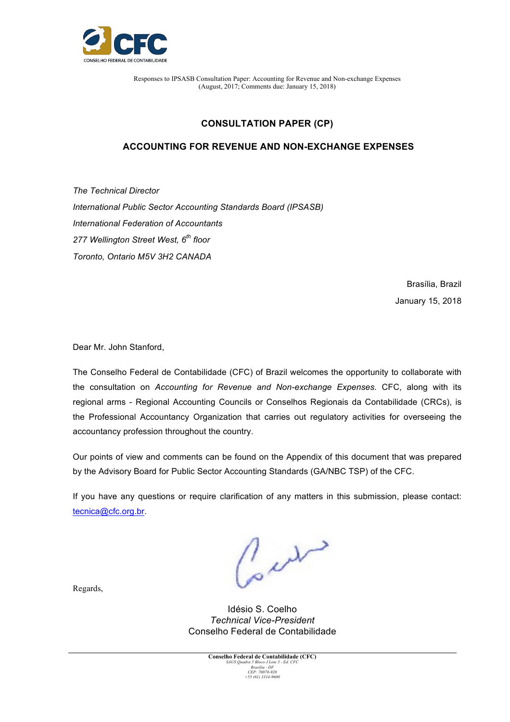

# **CONSULTATION PAPER (CP)**

# **ACCOUNTING FOR REVENUE AND NON-EXCHANGE EXPENSES**

*The Technical Director International Public Sector Accounting Standards Board (IPSASB) International Federation of Accountants 277 Wellington Street West, 6th floor Toronto, Ontario M5V 3H2 CANADA*

> Brasília, Brazil January 15, 2018

Dear Mr. John Stanford,

The Conselho Federal de Contabilidade (CFC) of Brazil welcomes the opportunity to collaborate with the consultation on *Accounting for Revenue and Non-exchange Expenses.* CFC, along with its regional arms - Regional Accounting Councils or Conselhos Regionais da Contabilidade (CRCs), is the Professional Accountancy Organization that carries out regulatory activities for overseeing the accountancy profession throughout the country.

Our points of view and comments can be found on the Appendix of this document that was prepared by the Advisory Board for Public Sector Accounting Standards (GA/NBC TSP) of the CFC.

If you have any questions or require clarification of any matters in this submission, please contact: tecnica@cfc.org.br.

Cart

Regards,

Idésio S. Coelho *Technical Vice-President* Conselho Federal de Contabilidade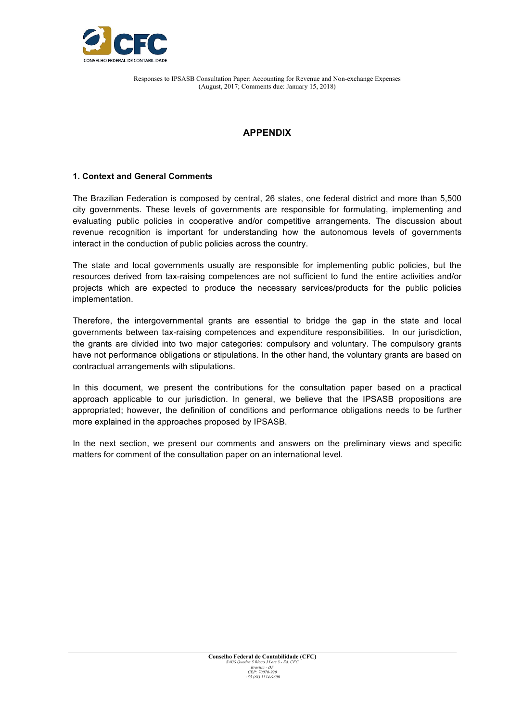

# **APPENDIX**

# **1. Context and General Comments**

The Brazilian Federation is composed by central, 26 states, one federal district and more than 5,500 city governments. These levels of governments are responsible for formulating, implementing and evaluating public policies in cooperative and/or competitive arrangements. The discussion about revenue recognition is important for understanding how the autonomous levels of governments interact in the conduction of public policies across the country.

The state and local governments usually are responsible for implementing public policies, but the resources derived from tax-raising competences are not sufficient to fund the entire activities and/or projects which are expected to produce the necessary services/products for the public policies implementation.

Therefore, the intergovernmental grants are essential to bridge the gap in the state and local governments between tax-raising competences and expenditure responsibilities. In our jurisdiction, the grants are divided into two major categories: compulsory and voluntary. The compulsory grants have not performance obligations or stipulations. In the other hand, the voluntary grants are based on contractual arrangements with stipulations.

In this document, we present the contributions for the consultation paper based on a practical approach applicable to our jurisdiction. In general, we believe that the IPSASB propositions are appropriated; however, the definition of conditions and performance obligations needs to be further more explained in the approaches proposed by IPSASB.

In the next section, we present our comments and answers on the preliminary views and specific matters for comment of the consultation paper on an international level.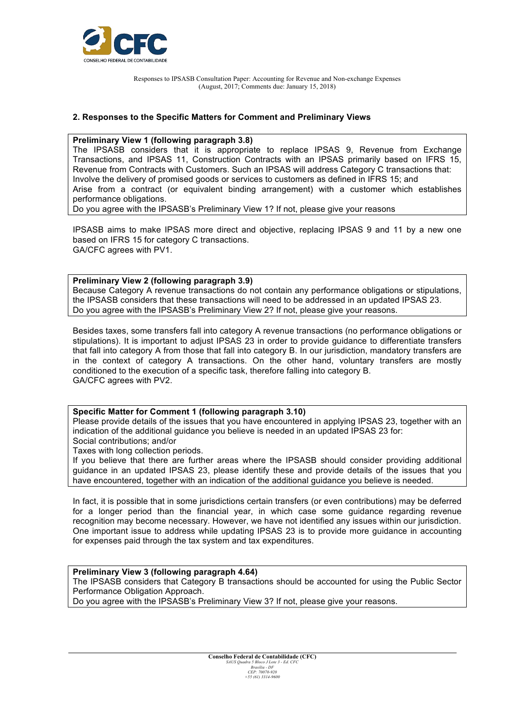

# **2. Responses to the Specific Matters for Comment and Preliminary Views**

#### **Preliminary View 1 (following paragraph 3.8)**

The IPSASB considers that it is appropriate to replace IPSAS 9, Revenue from Exchange Transactions, and IPSAS 11, Construction Contracts with an IPSAS primarily based on IFRS 15, Revenue from Contracts with Customers. Such an IPSAS will address Category C transactions that: Involve the delivery of promised goods or services to customers as defined in IFRS 15; and Arise from a contract (or equivalent binding arrangement) with a customer which establishes performance obligations.

Do you agree with the IPSASB's Preliminary View 1? If not, please give your reasons

IPSASB aims to make IPSAS more direct and objective, replacing IPSAS 9 and 11 by a new one based on IFRS 15 for category C transactions. GA/CFC agrees with PV1.

## **Preliminary View 2 (following paragraph 3.9)**

Because Category A revenue transactions do not contain any performance obligations or stipulations, the IPSASB considers that these transactions will need to be addressed in an updated IPSAS 23. Do you agree with the IPSASB's Preliminary View 2? If not, please give your reasons.

Besides taxes, some transfers fall into category A revenue transactions (no performance obligations or stipulations). It is important to adjust IPSAS 23 in order to provide guidance to differentiate transfers that fall into category A from those that fall into category B. In our jurisdiction, mandatory transfers are in the context of category A transactions. On the other hand, voluntary transfers are mostly conditioned to the execution of a specific task, therefore falling into category B. GA/CFC agrees with PV2.

## **Specific Matter for Comment 1 (following paragraph 3.10)**

Please provide details of the issues that you have encountered in applying IPSAS 23, together with an indication of the additional guidance you believe is needed in an updated IPSAS 23 for: Social contributions; and/or

Taxes with long collection periods.

If you believe that there are further areas where the IPSASB should consider providing additional guidance in an updated IPSAS 23, please identify these and provide details of the issues that you have encountered, together with an indication of the additional guidance you believe is needed.

In fact, it is possible that in some jurisdictions certain transfers (or even contributions) may be deferred for a longer period than the financial year, in which case some guidance regarding revenue recognition may become necessary. However, we have not identified any issues within our jurisdiction. One important issue to address while updating IPSAS 23 is to provide more guidance in accounting for expenses paid through the tax system and tax expenditures.

**Preliminary View 3 (following paragraph 4.64)** The IPSASB considers that Category B transactions should be accounted for using the Public Sector Performance Obligation Approach. Do you agree with the IPSASB's Preliminary View 3? If not, please give your reasons.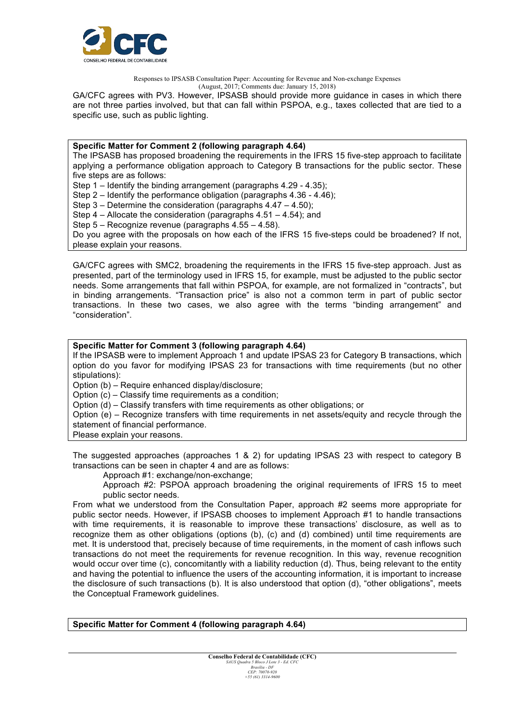

Responses to IPSASB Consultation Paper: Accounting for Revenue and Non-exchange Expenses

(August, 2017; Comments due: January 15, 2018)

GA/CFC agrees with PV3. However, IPSASB should provide more guidance in cases in which there are not three parties involved, but that can fall within PSPOA, e.g., taxes collected that are tied to a specific use, such as public lighting.

#### **Specific Matter for Comment 2 (following paragraph 4.64)**

The IPSASB has proposed broadening the requirements in the IFRS 15 five-step approach to facilitate applying a performance obligation approach to Category B transactions for the public sector. These five steps are as follows:

Step 1 – Identify the binding arrangement (paragraphs 4.29 - 4.35);

Step 2 – Identify the performance obligation (paragraphs 4.36 - 4.46);

Step 3 – Determine the consideration (paragraphs 4.47 – 4.50);

Step 4 – Allocate the consideration (paragraphs 4.51 – 4.54); and

Step 5 – Recognize revenue (paragraphs 4.55 – 4.58).

Do you agree with the proposals on how each of the IFRS 15 five-steps could be broadened? If not, please explain your reasons.

GA/CFC agrees with SMC2, broadening the requirements in the IFRS 15 five-step approach. Just as presented, part of the terminology used in IFRS 15, for example, must be adjusted to the public sector needs. Some arrangements that fall within PSPOA, for example, are not formalized in "contracts", but in binding arrangements. "Transaction price" is also not a common term in part of public sector transactions. In these two cases, we also agree with the terms "binding arrangement" and "consideration".

## **Specific Matter for Comment 3 (following paragraph 4.64)**

If the IPSASB were to implement Approach 1 and update IPSAS 23 for Category B transactions, which option do you favor for modifying IPSAS 23 for transactions with time requirements (but no other stipulations):

Option (b) – Require enhanced display/disclosure;

Option (c) – Classify time requirements as a condition;

Option (d) – Classify transfers with time requirements as other obligations; or

Option (e) – Recognize transfers with time requirements in net assets/equity and recycle through the statement of financial performance.

Please explain your reasons.

The suggested approaches (approaches 1 & 2) for updating IPSAS 23 with respect to category B transactions can be seen in chapter 4 and are as follows:

Approach #1: exchange/non-exchange;

Approach #2: PSPOA approach broadening the original requirements of IFRS 15 to meet public sector needs.

From what we understood from the Consultation Paper, approach #2 seems more appropriate for public sector needs. However, if IPSASB chooses to implement Approach #1 to handle transactions with time requirements, it is reasonable to improve these transactions' disclosure, as well as to recognize them as other obligations (options (b), (c) and (d) combined) until time requirements are met. It is understood that, precisely because of time requirements, in the moment of cash inflows such transactions do not meet the requirements for revenue recognition. In this way, revenue recognition would occur over time (c), concomitantly with a liability reduction (d). Thus, being relevant to the entity and having the potential to influence the users of the accounting information, it is important to increase the disclosure of such transactions (b). It is also understood that option (d), "other obligations", meets the Conceptual Framework guidelines.

## **Specific Matter for Comment 4 (following paragraph 4.64)**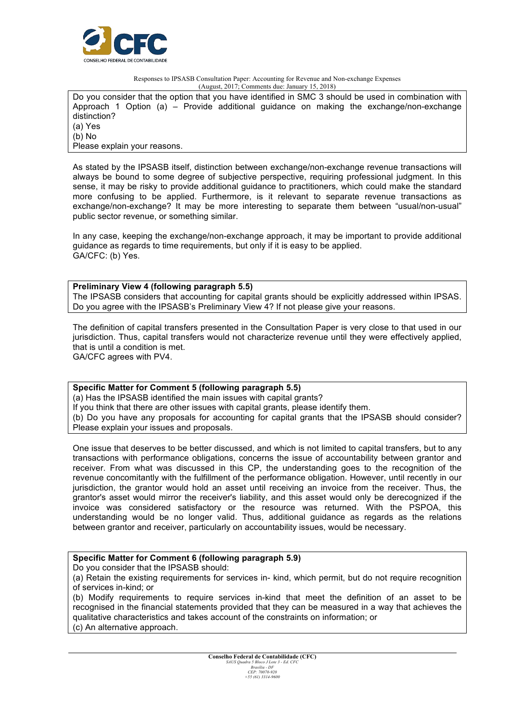

Do you consider that the option that you have identified in SMC 3 should be used in combination with Approach 1 Option (a) – Provide additional guidance on making the exchange/non-exchange distinction? (a) Yes  $(b)$  No Please explain your reasons.

As stated by the IPSASB itself, distinction between exchange/non-exchange revenue transactions will always be bound to some degree of subjective perspective, requiring professional judgment. In this sense, it may be risky to provide additional guidance to practitioners, which could make the standard more confusing to be applied. Furthermore, is it relevant to separate revenue transactions as exchange/non-exchange? It may be more interesting to separate them between "usual/non-usual" public sector revenue, or something similar.

In any case, keeping the exchange/non-exchange approach, it may be important to provide additional guidance as regards to time requirements, but only if it is easy to be applied. GA/CFC: (b) Yes.

**Preliminary View 4 (following paragraph 5.5)** The IPSASB considers that accounting for capital grants should be explicitly addressed within IPSAS. Do you agree with the IPSASB's Preliminary View 4? If not please give your reasons.

The definition of capital transfers presented in the Consultation Paper is very close to that used in our jurisdiction. Thus, capital transfers would not characterize revenue until they were effectively applied, that is until a condition is met. GA/CFC agrees with PV4.

## **Specific Matter for Comment 5 (following paragraph 5.5)**

(a) Has the IPSASB identified the main issues with capital grants?

If you think that there are other issues with capital grants, please identify them.

(b) Do you have any proposals for accounting for capital grants that the IPSASB should consider? Please explain your issues and proposals.

One issue that deserves to be better discussed, and which is not limited to capital transfers, but to any transactions with performance obligations, concerns the issue of accountability between grantor and receiver. From what was discussed in this CP, the understanding goes to the recognition of the revenue concomitantly with the fulfillment of the performance obligation. However, until recently in our jurisdiction, the grantor would hold an asset until receiving an invoice from the receiver. Thus, the grantor's asset would mirror the receiver's liability, and this asset would only be derecognized if the invoice was considered satisfactory or the resource was returned. With the PSPOA, this understanding would be no longer valid. Thus, additional guidance as regards as the relations between grantor and receiver, particularly on accountability issues, would be necessary.

## **Specific Matter for Comment 6 (following paragraph 5.9)**

Do you consider that the IPSASB should:

(a) Retain the existing requirements for services in- kind, which permit, but do not require recognition of services in-kind; or

(b) Modify requirements to require services in-kind that meet the definition of an asset to be recognised in the financial statements provided that they can be measured in a way that achieves the qualitative characteristics and takes account of the constraints on information; or (c) An alternative approach.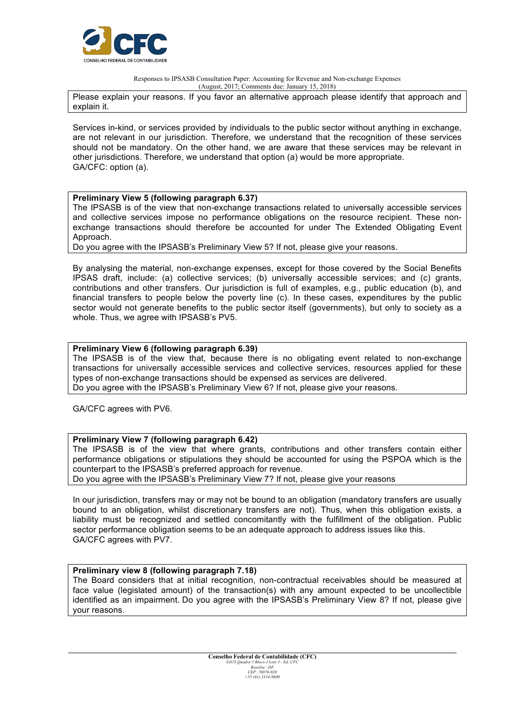

Please explain your reasons. If you favor an alternative approach please identify that approach and explain it.

Services in-kind, or services provided by individuals to the public sector without anything in exchange, are not relevant in our jurisdiction. Therefore, we understand that the recognition of these services should not be mandatory. On the other hand, we are aware that these services may be relevant in other jurisdictions. Therefore, we understand that option (a) would be more appropriate. GA/CFC: option (a).

#### **Preliminary View 5 (following paragraph 6.37)**

The IPSASB is of the view that non-exchange transactions related to universally accessible services and collective services impose no performance obligations on the resource recipient. These nonexchange transactions should therefore be accounted for under The Extended Obligating Event Approach.

Do you agree with the IPSASB's Preliminary View 5? If not, please give your reasons.

By analysing the material, non-exchange expenses, except for those covered by the Social Benefits IPSAS draft, include: (a) collective services; (b) universally accessible services; and (c) grants, contributions and other transfers. Our jurisdiction is full of examples, e.g., public education (b), and financial transfers to people below the poverty line (c). In these cases, expenditures by the public sector would not generate benefits to the public sector itself (governments), but only to society as a whole. Thus, we agree with IPSASB's PV5.

#### **Preliminary View 6 (following paragraph 6.39)**

The IPSASB is of the view that, because there is no obligating event related to non-exchange transactions for universally accessible services and collective services, resources applied for these types of non-exchange transactions should be expensed as services are delivered. Do you agree with the IPSASB's Preliminary View 6? If not, please give your reasons.

GA/CFC agrees with PV6.

## **Preliminary View 7 (following paragraph 6.42)**

The IPSASB is of the view that where grants, contributions and other transfers contain either performance obligations or stipulations they should be accounted for using the PSPOA which is the counterpart to the IPSASB's preferred approach for revenue.

Do you agree with the IPSASB's Preliminary View 7? If not, please give your reasons

In our jurisdiction, transfers may or may not be bound to an obligation (mandatory transfers are usually bound to an obligation, whilst discretionary transfers are not). Thus, when this obligation exists, a liability must be recognized and settled concomitantly with the fulfillment of the obligation. Public sector performance obligation seems to be an adequate approach to address issues like this. GA/CFC agrees with PV7.

## **Preliminary view 8 (following paragraph 7.18)**

The Board considers that at initial recognition, non-contractual receivables should be measured at face value (legislated amount) of the transaction(s) with any amount expected to be uncollectible identified as an impairment. Do you agree with the IPSASB's Preliminary View 8? If not, please give your reasons.